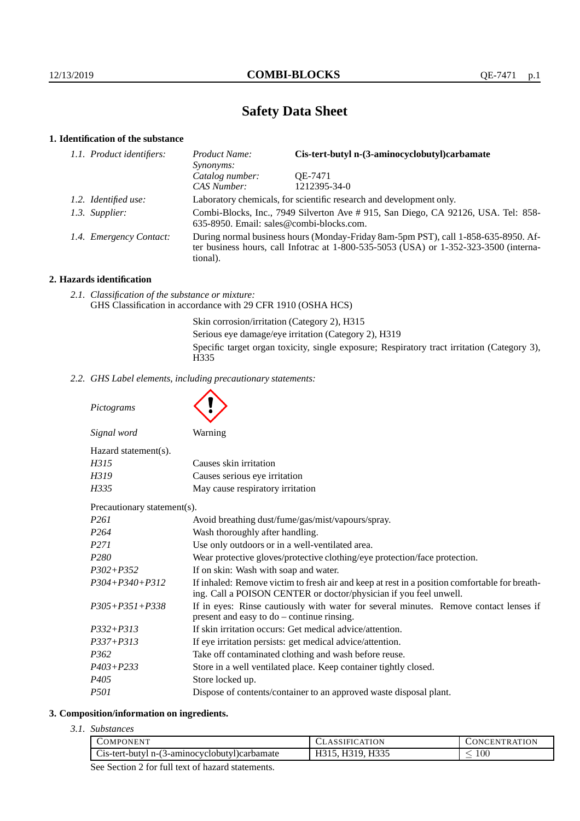# **Safety Data Sheet**

# **1. Identification of the substance**

| 1.1. Product identifiers: | Product Name:<br>Synonyms:                                                                                                                                                                  | Cis-tert-butyl n-(3-aminocyclobutyl)carbamate                       |
|---------------------------|---------------------------------------------------------------------------------------------------------------------------------------------------------------------------------------------|---------------------------------------------------------------------|
|                           | Catalog number:                                                                                                                                                                             | OE-7471                                                             |
|                           | CAS Number:                                                                                                                                                                                 | 1212395-34-0                                                        |
| 1.2. Identified use:      |                                                                                                                                                                                             | Laboratory chemicals, for scientific research and development only. |
| 1.3. Supplier:            | Combi-Blocks, Inc., 7949 Silverton Ave #915, San Diego, CA 92126, USA. Tel: 858-<br>635-8950. Email: sales@combi-blocks.com.                                                                |                                                                     |
| 1.4. Emergency Contact:   | During normal business hours (Monday-Friday 8am-5pm PST), call 1-858-635-8950. Af-<br>ter business hours, call Infotrac at $1-800-535-5053$ (USA) or $1-352-323-3500$ (interna-<br>tional). |                                                                     |

## **2. Hazards identification**

*2.1. Classification of the substance or mixture:* GHS Classification in accordance with 29 CFR 1910 (OSHA HCS)

> Skin corrosion/irritation (Category 2), H315 Serious eye damage/eye irritation (Category 2), H319 Specific target organ toxicity, single exposure; Respiratory tract irritation (Category 3), H335

*2.2. GHS Label elements, including precautionary statements:*

*Pictograms*

|                             | $\checkmark$                                                                                                                                                       |
|-----------------------------|--------------------------------------------------------------------------------------------------------------------------------------------------------------------|
| Signal word                 | Warning                                                                                                                                                            |
| Hazard statement(s).        |                                                                                                                                                                    |
| H315                        | Causes skin irritation                                                                                                                                             |
| H319                        | Causes serious eye irritation                                                                                                                                      |
| H335                        | May cause respiratory irritation                                                                                                                                   |
| Precautionary statement(s). |                                                                                                                                                                    |
| P <sub>261</sub>            | Avoid breathing dust/fume/gas/mist/vapours/spray.                                                                                                                  |
| P <sub>264</sub>            | Wash thoroughly after handling.                                                                                                                                    |
| P <sub>271</sub>            | Use only outdoors or in a well-ventilated area.                                                                                                                    |
| P280                        | Wear protective gloves/protective clothing/eye protection/face protection.                                                                                         |
| $P302 + P352$               | If on skin: Wash with soap and water.                                                                                                                              |
| $P304 + P340 + P312$        | If inhaled: Remove victim to fresh air and keep at rest in a position comfortable for breath-<br>ing. Call a POISON CENTER or doctor/physician if you feel unwell. |
| $P305 + P351 + P338$        | If in eyes: Rinse cautiously with water for several minutes. Remove contact lenses if<br>present and easy to $do$ – continue rinsing.                              |
| $P332 + P313$               | If skin irritation occurs: Get medical advice/attention.                                                                                                           |
| $P337 + P313$               | If eye irritation persists: get medical advice/attention.                                                                                                          |
| P <sub>362</sub>            | Take off contaminated clothing and wash before reuse.                                                                                                              |
| $P403 + P233$               | Store in a well ventilated place. Keep container tightly closed.                                                                                                   |
| P405                        | Store locked up.                                                                                                                                                   |

*P501* Dispose of contents/container to an approved waste disposal plant.

#### **3. Composition/information on ingredients.**

*3.1. Substances*

| COMPONENT                                     | ASSIFICATION | <b>ONCENTRATION</b> |
|-----------------------------------------------|--------------|---------------------|
| Cis-tert-butyl n-(3-aminocyclobutyl)carbamate | . H319. H335 | 100                 |
| $\sim$                                        |              |                     |

See Section 2 for full text of hazard statements.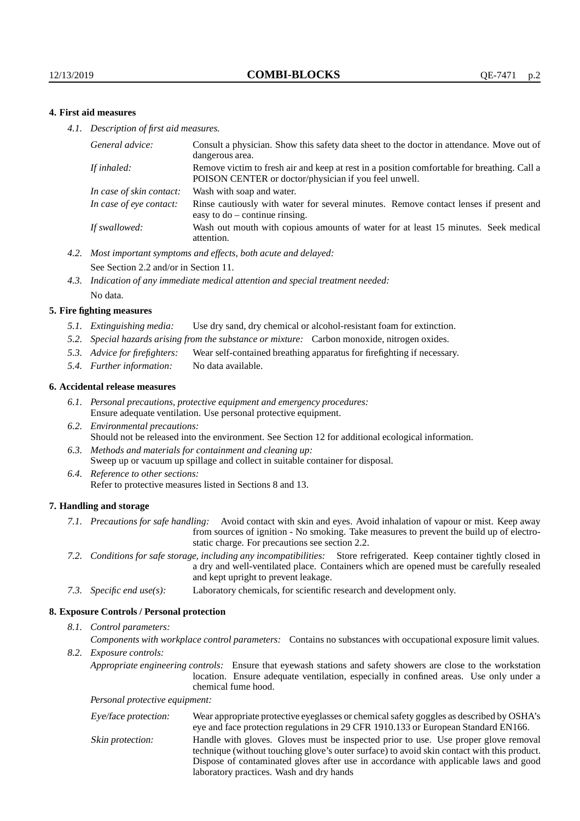## **4. First aid measures**

*4.1. Description of first aid measures.*

| Consult a physician. Show this safety data sheet to the doctor in attendance. Move out of<br>dangerous area.                                         |
|------------------------------------------------------------------------------------------------------------------------------------------------------|
| Remove victim to fresh air and keep at rest in a position comfortable for breathing. Call a<br>POISON CENTER or doctor/physician if you feel unwell. |
| Wash with soap and water.                                                                                                                            |
| Rinse cautiously with water for several minutes. Remove contact lenses if present and<br>easy to $do$ – continue rinsing.                            |
| Wash out mouth with copious amounts of water for at least 15 minutes. Seek medical<br>attention.                                                     |
|                                                                                                                                                      |

- *4.2. Most important symptoms and effects, both acute and delayed:* See Section 2.2 and/or in Section 11.
- *4.3. Indication of any immediate medical attention and special treatment needed:* No data.

#### **5. Fire fighting measures**

- *5.1. Extinguishing media:* Use dry sand, dry chemical or alcohol-resistant foam for extinction.
- *5.2. Special hazards arising from the substance or mixture:* Carbon monoxide, nitrogen oxides.
- *5.3. Advice for firefighters:* Wear self-contained breathing apparatus for firefighting if necessary.
- *5.4. Further information:* No data available.

#### **6. Accidental release measures**

- *6.1. Personal precautions, protective equipment and emergency procedures:* Ensure adequate ventilation. Use personal protective equipment.
- *6.2. Environmental precautions:* Should not be released into the environment. See Section 12 for additional ecological information.
- *6.3. Methods and materials for containment and cleaning up:* Sweep up or vacuum up spillage and collect in suitable container for disposal.
- *6.4. Reference to other sections:* Refer to protective measures listed in Sections 8 and 13.

#### **7. Handling and storage**

- *7.1. Precautions for safe handling:* Avoid contact with skin and eyes. Avoid inhalation of vapour or mist. Keep away from sources of ignition - No smoking. Take measures to prevent the build up of electrostatic charge. For precautions see section 2.2.
- *7.2. Conditions for safe storage, including any incompatibilities:* Store refrigerated. Keep container tightly closed in a dry and well-ventilated place. Containers which are opened must be carefully resealed and kept upright to prevent leakage.
- *7.3. Specific end use(s):* Laboratory chemicals, for scientific research and development only.

#### **8. Exposure Controls / Personal protection**

*8.1. Control parameters:*

*Components with workplace control parameters:* Contains no substances with occupational exposure limit values.

*8.2. Exposure controls:*

*Appropriate engineering controls:* Ensure that eyewash stations and safety showers are close to the workstation location. Ensure adequate ventilation, especially in confined areas. Use only under a chemical fume hood.

*Personal protective equipment:*

| Eye/face protection: | Wear appropriate protective eyeglasses or chemical safety goggles as described by OSHA's<br>eye and face protection regulations in 29 CFR 1910.133 or European Standard EN166.                                                                                                                                         |
|----------------------|------------------------------------------------------------------------------------------------------------------------------------------------------------------------------------------------------------------------------------------------------------------------------------------------------------------------|
| Skin protection:     | Handle with gloves. Gloves must be inspected prior to use. Use proper glove removal<br>technique (without touching glove's outer surface) to avoid skin contact with this product.<br>Dispose of contaminated gloves after use in accordance with applicable laws and good<br>laboratory practices. Wash and dry hands |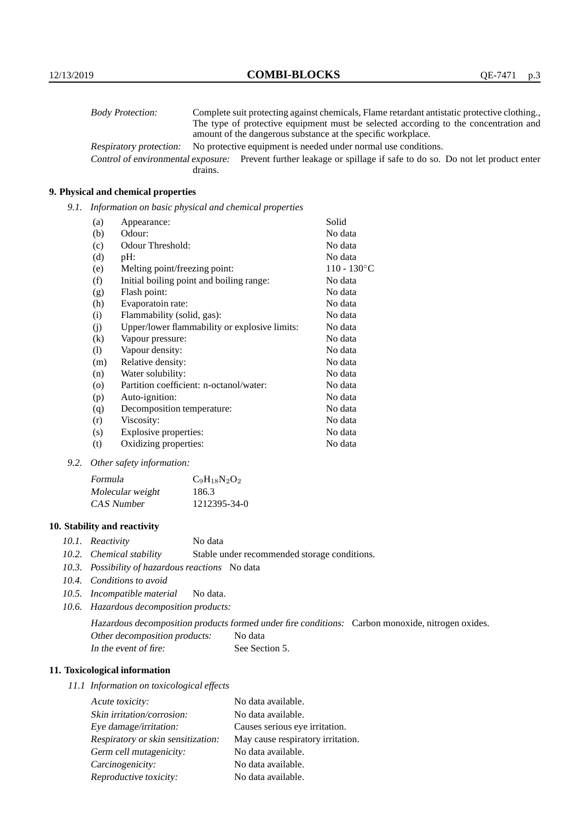| <b>Body Protection:</b> |         | Complete suit protecting against chemicals, Flame retardant antistatic protective clothing.                       |
|-------------------------|---------|-------------------------------------------------------------------------------------------------------------------|
|                         |         | The type of protective equipment must be selected according to the concentration and                              |
|                         |         | amount of the dangerous substance at the specific workplace.                                                      |
| Respiratory protection: |         | No protective equipment is needed under normal use conditions.                                                    |
|                         |         | Control of environmental exposure: Prevent further leakage or spillage if safe to do so. Do not let product enter |
|                         | drains. |                                                                                                                   |

## **9. Physical and chemical properties**

*9.1. Information on basic physical and chemical properties*

| (a)      | Appearance:                                   | Solid                |
|----------|-----------------------------------------------|----------------------|
| (b)      | Odour:                                        | No data              |
| (c)      | Odour Threshold:                              | No data              |
| (d)      | $pH$ :                                        | No data              |
| (e)      | Melting point/freezing point:                 | $110 - 130^{\circ}C$ |
| (f)      | Initial boiling point and boiling range:      | No data              |
| (g)      | Flash point:                                  | No data              |
| (h)      | Evaporatoin rate:                             | No data              |
| (i)      | Flammability (solid, gas):                    | No data              |
| (j)      | Upper/lower flammability or explosive limits: | No data              |
| $\rm(k)$ | Vapour pressure:                              | No data              |
| (1)      | Vapour density:                               | No data              |
| (m)      | Relative density:                             | No data              |
| (n)      | Water solubility:                             | No data              |
| $\circ$  | Partition coefficient: n-octanol/water:       | No data              |
| (p)      | Auto-ignition:                                | No data              |
| (q)      | Decomposition temperature:                    | No data              |
| (r)      | Viscosity:                                    | No data              |
| (s)      | Explosive properties:                         | No data              |
| (t)      | Oxidizing properties:                         | No data              |

*9.2. Other safety information:*

| Formula          | $C_9H_{18}N_2O_2$ |
|------------------|-------------------|
| Molecular weight | 186.3             |
| CAS Number       | 1212395-34-0      |

## **10. Stability and reactivity**

- *10.1. Reactivity* No data
- *10.2. Chemical stability* Stable under recommended storage conditions.
- *10.3. Possibility of hazardous reactions* No data
- *10.4. Conditions to avoid*
- *10.5. Incompatible material* No data.
- *10.6. Hazardous decomposition products:*

Hazardous decomposition products formed under fire conditions: Carbon monoxide, nitrogen oxides. Other decomposition products: No data In the event of fire: See Section 5.

## **11. Toxicological information**

*11.1 Information on toxicological effects*

| Acute toxicity:                    | No data available.                |
|------------------------------------|-----------------------------------|
| Skin irritation/corrosion:         | No data available.                |
| Eye damage/irritation:             | Causes serious eye irritation.    |
| Respiratory or skin sensitization: | May cause respiratory irritation. |
| Germ cell mutagenicity:            | No data available.                |
| Carcinogenicity:                   | No data available.                |
| Reproductive toxicity:             | No data available.                |